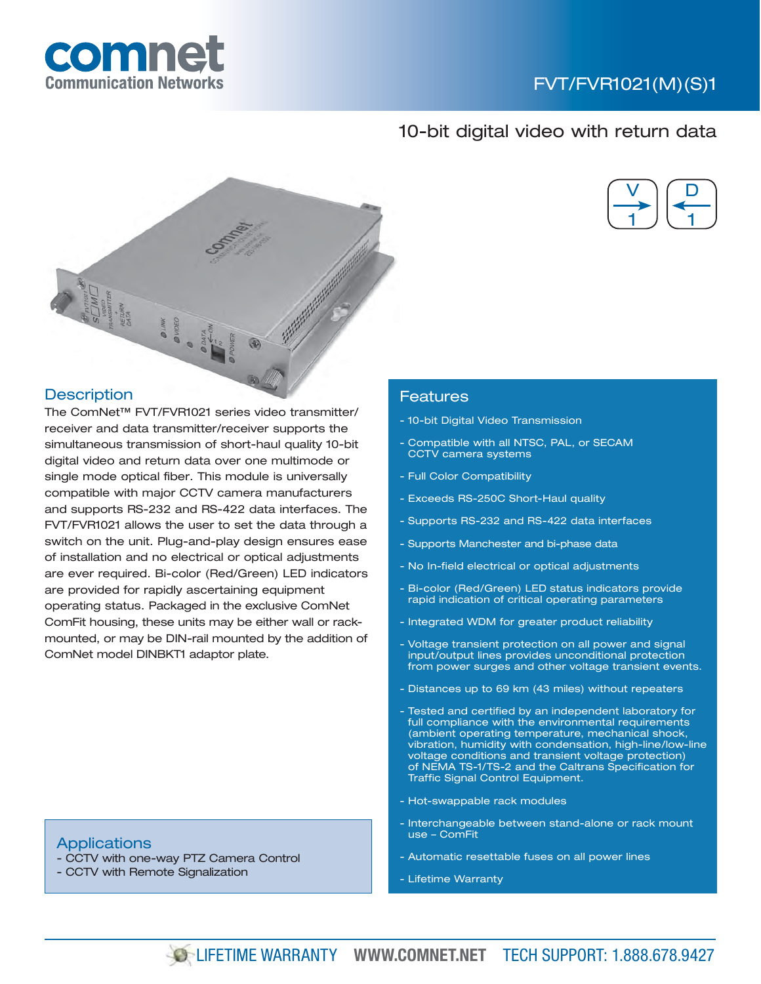

# 10-bit digital video with return data



## **Description**

TRANS

comne

The ComNet™ FVT/FVR1021 series video transmitter/ receiver and data transmitter/receiver supports the simultaneous transmission of short-haul quality 10-bit digital video and return data over one multimode or single mode optical fiber. This module is universally compatible with major CCTV camera manufacturers and supports RS-232 and RS-422 data interfaces. The FVT/FVR1021 allows the user to set the data through a switch on the unit. Plug-and-play design ensures ease of installation and no electrical or optical adjustments are ever required. Bi-color (Red/Green) LED indicators are provided for rapidly ascertaining equipment operating status. Packaged in the exclusive ComNet ComFit housing, these units may be either wall or rackmounted, or may be DIN-rail mounted by the addition of ComNet model DINBKT1 adaptor plate.

## Features

- 10-bit Digital Video Transmission
- Compatible with all NTSC, PAL, or SECAM CCTV camera systems
- Full Color Compatibility
- Exceeds RS-250C Short-Haul quality
- Supports RS-232 and RS-422 data interfaces
- Supports Manchester and bi-phase data
- No In-field electrical or optical adjustments
- Bi-color (Red/Green) LED status indicators provide rapid indication of critical operating parameters
- Integrated WDM for greater product reliability
- Voltage transient protection on all power and signal input/output lines provides unconditional protection from power surges and other voltage transient events.
- Distances up to 69 km (43 miles) without repeaters
- Tested and certified by an independent laboratory for full compliance with the environmental requirements (ambient operating temperature, mechanical shock, vibration, humidity with condensation, high-line/low-line voltage conditions and transient voltage protection) of NEMA TS-1/TS-2 and the Caltrans Specification for Traffic Signal Control Equipment.
- Hot-swappable rack modules
- Interchangeable between stand-alone or rack mount use – ComFit
- Automatic resettable fuses on all power lines
- Lifetime Warranty

#### **Applications**

- CCTV with one-way PTZ Camera Control
- CCTV with Remote Signalization